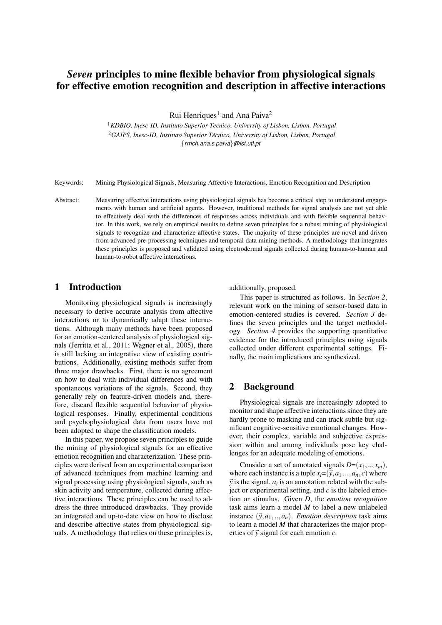# *Seven* principles to mine flexible behavior from physiological signals for effective emotion recognition and description in affective interactions

Rui Henriques<sup>1</sup> and Ana Paiva<sup>2</sup>

<sup>1</sup> KDBIO, Inesc-ID, Instituto Superior Técnico, University of Lisbon, Lisbon, Portugal <sup>2</sup>GAIPS, Inesc-ID, Instituto Superior Técnico, University of Lisbon, Lisbon, Portugal {*rmch,ana.s.paiva*}*@ist.utl.pt*

Keywords: Mining Physiological Signals, Measuring Affective Interactions, Emotion Recognition and Description

Abstract: Measuring affective interactions using physiological signals has become a critical step to understand engagements with human and artificial agents. However, traditional methods for signal analysis are not yet able to effectively deal with the differences of responses across individuals and with flexible sequential behavior. In this work, we rely on empirical results to define seven principles for a robust mining of physiological signals to recognize and characterize affective states. The majority of these principles are novel and driven from advanced pre-processing techniques and temporal data mining methods. A methodology that integrates these principles is proposed and validated using electrodermal signals collected during human-to-human and human-to-robot affective interactions.

# 1 Introduction

Monitoring physiological signals is increasingly necessary to derive accurate analysis from affective interactions or to dynamically adapt these interactions. Although many methods have been proposed for an emotion-centered analysis of physiological signals (Jerritta et al., 2011; Wagner et al., 2005), there is still lacking an integrative view of existing contributions. Additionally, existing methods suffer from three major drawbacks. First, there is no agreement on how to deal with individual differences and with spontaneous variations of the signals. Second, they generally rely on feature-driven models and, therefore, discard flexible sequential behavior of physiological responses. Finally, experimental conditions and psychophysiological data from users have not been adopted to shape the classification models.

In this paper, we propose seven principles to guide the mining of physiological signals for an effective emotion recognition and characterization. These principles were derived from an experimental comparison of advanced techniques from machine learning and signal processing using physiological signals, such as skin activity and temperature, collected during affective interactions. These principles can be used to address the three introduced drawbacks. They provide an integrated and up-to-date view on how to disclose and describe affective states from physiological signals. A methodology that relies on these principles is,

additionally, proposed.

This paper is structured as follows. In *Section 2*, relevant work on the mining of sensor-based data in emotion-centered studies is covered. *Section 3* defines the seven principles and the target methodology. *Section 4* provides the supporting quantitative evidence for the introduced principles using signals collected under different experimental settings. Finally, the main implications are synthesized.

# 2 Background

Physiological signals are increasingly adopted to monitor and shape affective interactions since they are hardly prone to masking and can track subtle but significant cognitive-sensitive emotional changes. However, their complex, variable and subjective expression within and among individuals pose key challenges for an adequate modeling of emotions.

Consider a set of annotated signals  $D=(x_1, \ldots, x_m)$ , where each instance is a tuple  $x_i = (\vec{y}, a_1, \dots, a_n, c)$  where  $\vec{y}$  is the signal,  $a_i$  is an annotation related with the subject or experimental setting, and  $c$  is the labeled emotion or stimulus. Given *D*, the *emotion recognition* task aims learn a model *M* to label a new unlabeled instance  $(\vec{y}, a_1, \ldots, a_n)$ . *Emotion description* task aims to learn a model *M* that characterizes the major properties of  $\vec{v}$  signal for each emotion *c*.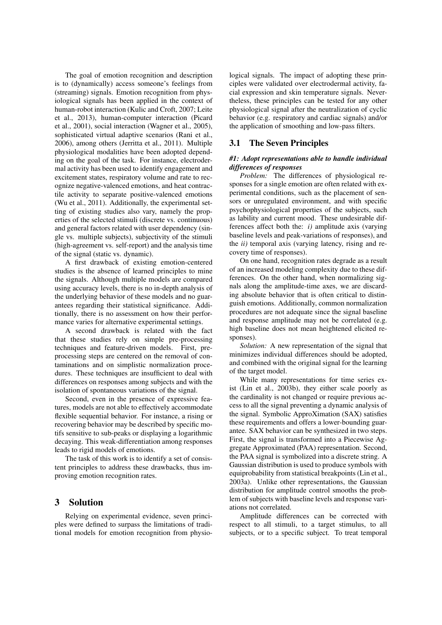The goal of emotion recognition and description is to (dynamically) access someone's feelings from (streaming) signals. Emotion recognition from physiological signals has been applied in the context of human-robot interaction (Kulic and Croft, 2007; Leite et al., 2013), human-computer interaction (Picard et al., 2001), social interaction (Wagner et al., 2005), sophisticated virtual adaptive scenarios (Rani et al., 2006), among others (Jerritta et al., 2011). Multiple physiological modalities have been adopted depending on the goal of the task. For instance, electrodermal activity has been used to identify engagement and excitement states, respiratory volume and rate to recognize negative-valenced emotions, and heat contractile activity to separate positive-valenced emotions (Wu et al., 2011). Additionally, the experimental setting of existing studies also vary, namely the properties of the selected stimuli (discrete vs. continuous) and general factors related with user dependency (single vs. multiple subjects), subjectivity of the stimuli (high-agreement vs. self-report) and the analysis time of the signal (static vs. dynamic).

A first drawback of existing emotion-centered studies is the absence of learned principles to mine the signals. Although multiple models are compared using accuracy levels, there is no in-depth analysis of the underlying behavior of these models and no guarantees regarding their statistical significance. Additionally, there is no assessment on how their performance varies for alternative experimental settings.

A second drawback is related with the fact that these studies rely on simple pre-processing techniques and feature-driven models. First, preprocessing steps are centered on the removal of contaminations and on simplistic normalization procedures. These techniques are insufficient to deal with differences on responses among subjects and with the isolation of spontaneous variations of the signal.

Second, even in the presence of expressive features, models are not able to effectively accommodate flexible sequential behavior. For instance, a rising or recovering behavior may be described by specific motifs sensitive to sub-peaks or displaying a logarithmic decaying. This weak-differentiation among responses leads to rigid models of emotions.

The task of this work is to identify a set of consistent principles to address these drawbacks, thus improving emotion recognition rates.

# 3 Solution

Relying on experimental evidence, seven principles were defined to surpass the limitations of traditional models for emotion recognition from physiological signals. The impact of adopting these principles were validated over electrodermal activity, facial expression and skin temperature signals. Nevertheless, these principles can be tested for any other physiological signal after the neutralization of cyclic behavior (e.g. respiratory and cardiac signals) and/or the application of smoothing and low-pass filters.

### 3.1 The Seven Principles

### *#1: Adopt representations able to handle individual differences of responses*

*Problem:* The differences of physiological responses for a single emotion are often related with experimental conditions, such as the placement of sensors or unregulated environment, and with specific psychophysiological properties of the subjects, such as lability and current mood. These undesirable differences affect both the: *i)* amplitude axis (varying baseline levels and peak-variations of responses), and the *ii)* temporal axis (varying latency, rising and recovery time of responses).

On one hand, recognition rates degrade as a result of an increased modeling complexity due to these differences. On the other hand, when normalizing signals along the amplitude-time axes, we are discarding absolute behavior that is often critical to distinguish emotions. Additionally, common normalization procedures are not adequate since the signal baseline and response amplitude may not be correlated (e.g. high baseline does not mean heightened elicited responses).

*Solution:* A new representation of the signal that minimizes individual differences should be adopted, and combined with the original signal for the learning of the target model.

While many representations for time series exist (Lin et al., 2003b), they either scale poorly as the cardinality is not changed or require previous access to all the signal preventing a dynamic analysis of the signal. Symbolic ApproXimation (SAX) satisfies these requirements and offers a lower-bounding guarantee. SAX behavior can be synthesized in two steps. First, the signal is transformed into a Piecewise Aggregate Approximated (PAA) representation. Second, the PAA signal is symbolized into a discrete string. A Gaussian distribution is used to produce symbols with equiprobability from statistical breakpoints (Lin et al., 2003a). Unlike other representations, the Gaussian distribution for amplitude control smooths the problem of subjects with baseline levels and response variations not correlated.

Amplitude differences can be corrected with respect to all stimuli, to a target stimulus, to all subjects, or to a specific subject. To treat temporal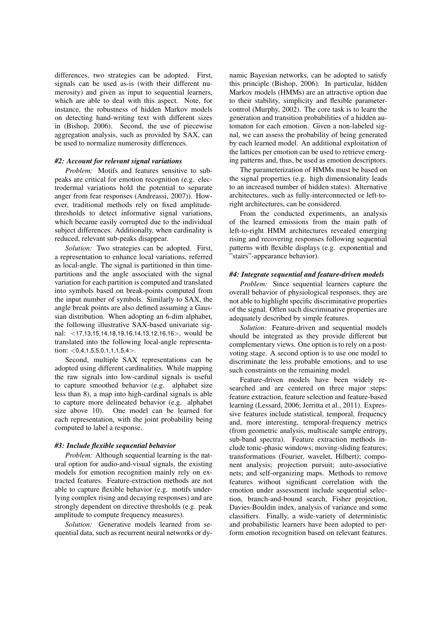differences, two strategies can be adopted. First, signals can be used as-is (with their different numerosity) and given as input to sequential learners, which are able to deal with this aspect. Note, for instance, the robustness of hidden Markov models on detecting hand-writing text with different sizes in (Bishop, 2006). Second, the use of piecewise aggregation analysis, such as provided by SAX, can be used to normalize numerosity differences.

#### *#2: Account for relevant signal variations*

*Problem:* Motifs and features sensitive to subpeaks are critical for emotion recognition (e.g. electrodermal variations hold the potential to separate anger from fear responses (Andreassi, 2007)). However, traditional methods rely on fixed amplitudethresholds to detect informative signal variations, which became easily corrupted due to the individual subject differences. Additionally, when cardinality is reduced, relevant sub-peaks disappear.

*Solution:* Two strategies can be adopted. First, a representation to enhance local variations, referred as local-angle. The signal is partitioned in thin timepartitions and the angle associated with the signal variation for each partition is computed and translated into symbols based on break-points computed from the input number of symbols. Similarly to SAX, the angle break points are also defined assuming a Gaussian distribution. When adopting an 6-dim alphabet, the following illustrative SAX-based univariate signal: <17,13,15,14,18,19,16,14,13,12,16,16>, would be translated into the following local-angle representation:  $< 0.4, 1.5, 5, 0, 1, 1, 1, 5, 4$ .

Second, multiple SAX representations can be adopted using different cardinalities. While mapping the raw signals into low-cardinal signals is useful to capture smoothed behavior (e.g. alphabet size less than 8), a map into high-cardinal signals is able to capture more delineated behavior (e.g. alphabet size above 10). One model can be learned for each representation, with the joint probability being computed to label a response.

#### *#3: Include flexible sequential behavior*

*Problem:* Although sequential learning is the natural option for audio-and-visual signals, the existing models for emotion recognition mainly rely on extracted features. Feature-extraction methods are not able to capture flexible behavior (e.g. motifs underlying complex rising and decaying responses) and are strongly dependent on directive thresholds (e.g. peak amplitude to compute frequency measures).

*Solution:* Generative models learned from sequential data, such as recurrent neural networks or dy-

namic Bayesian networks, can be adopted to satisfy this principle (Bishop, 2006). In particular, hidden Markov models (HMMs) are an attractive option due to their stability, simplicity and flexible parametercontrol (Murphy, 2002). The core task is to learn the generation and transition probabilities of a hidden automaton for each emotion. Given a non-labeled signal, we can assess the probability of being generated by each learned model. An additional exploitation of the lattices per emotion can be used to retrieve emerging patterns and, thus, be used as emotion descriptors.

The parameterization of HMMs must be based on the signal properties (e.g. high dimensionality leads to an increased number of hidden states). Alternative architectures, such as fully-interconnected or left-toright architectures, can be considered.

From the conducted experiments, an analysis of the learned emissions from the main path of left-to-right HMM architectures revealed emerging rising and recovering responses following sequential patterns with flexible displays (e.g. exponential and "stairs"-appearance behavior).

#### *#4: Integrate sequential and feature-driven models*

*Problem:* Since sequential learners capture the overall behavior of physiological responses, they are not able to highlight specific discriminative properties of the signal. Often such discriminative properties are adequately described by simple features.

*Solution:* Feature-driven and sequential models should be integrated as they provide different but complementary views. One option is to rely on a postvoting stage. A second option is to use one model to discriminate the less probable emotions, and to use such constraints on the remaining model.

Feature-driven models have been widely researched and are centered on three major steps: feature extraction, feature selection and feature-based learning (Lessard, 2006; Jerritta et al., 2011). Expressive features include statistical, temporal, frequency and, more interesting, temporal-frequency metrics (from geometric analysis, multiscale sample entropy, sub-band spectra). Feature extraction methods include tonic-phasic windows; moving-sliding features; transformations (Fourier, wavelet, Hilbert); component analysis; projection pursuit; auto-associative nets; and self-organizing maps. Methods to remove features without significant correlation with the emotion under assessment include sequential selection, branch-and-bound search, Fisher projection, Davies-Bouldin index, analysis of variance and some classifiers. Finally, a wide-variety of deterministic and probabilistic learners have been adopted to perform emotion recognition based on relevant features.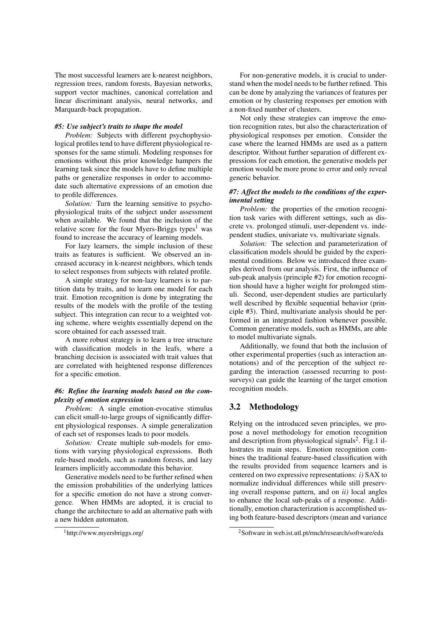The most successful learners are k-nearest neighbors, regression trees, random forests, Bayesian networks, support vector machines, canonical correlation and linear discriminant analysis, neural networks, and Marquardt-back propagation.

#### *#5: Use subject's traits to shape the model*

*Problem:* Subjects with different psychophysiological profiles tend to have different physiological responses for the same stimuli. Modeling responses for emotions without this prior knowledge hampers the learning task since the models have to define multiple paths or generalize responses in order to accommodate such alternative expressions of an emotion due to profile differences.

*Solution:* Turn the learning sensitive to psychophysiological traits of the subject under assessment when available. We found that the inclusion of the relative score for the four Myers-Briggs types<sup>1</sup> was found to increase the accuracy of learning models.

For lazy learners, the simple inclusion of these traits as features is sufficient. We observed an increased accuracy in k-nearest neighbors, which tends to select responses from subjects with related profile.

A simple strategy for non-lazy learners is to partition data by traits, and to learn one model for each trait. Emotion recognition is done by integrating the results of the models with the profile of the testing subject. This integration can recur to a weighted voting scheme, where weights essentially depend on the score obtained for each assessed trait.

A more robust strategy is to learn a tree structure with classification models in the leafs, where a branching decision is associated with trait values that are correlated with heightened response differences for a specific emotion.

### *#6: Refine the learning models based on the complexity of emotion expression*

*Problem:* A single emotion-evocative stimulus can elicit small-to-large groups of significantly different physiological responses. A simple generalization of each set of responses leads to poor models.

*Solution:* Create multiple sub-models for emotions with varying physiological expressions. Both rule-based models, such as random forests, and lazy learners implicitly accommodate this behavior.

Generative models need to be further refined when the emission probabilities of the underlying lattices for a specific emotion do not have a strong convergence. When HMMs are adopted, it is crucial to change the architecture to add an alternative path with a new hidden automaton.

<sup>1</sup>http://www.myersbriggs.org/

For non-generative models, it is crucial to understand when the model needs to be further refined. This can be done by analyzing the variances of features per emotion or by clustering responses per emotion with a non-fixed number of clusters.

Not only these strategies can improve the emotion recognition rates, but also the characterization of physiological responses per emotion. Consider the case where the learned HMMs are used as a pattern descriptor. Without further separation of different expressions for each emotion, the generative models per emotion would be more prone to error and only reveal generic behavior.

### *#7: Affect the models to the conditions of the experimental setting*

*Problem:* the properties of the emotion recognition task varies with different settings, such as discrete vs. prolonged stimuli, user-dependent vs. independent studies, univariate vs. multivariate signals.

*Solution:* The selection and parameterization of classification models should be guided by the experimental conditions. Below we introduced three examples derived from our analysis. First, the influence of sub-peak analysis (principle #2) for emotion recognition should have a higher weight for prolonged stimuli. Second, user-dependent studies are particularly well described by flexible sequential behavior (principle #3). Third, multivariate analysis should be performed in an integrated fashion whenever possible. Common generative models, such as HMMs, are able to model multivariate signals.

Additionally, we found that both the inclusion of other experimental properties (such as interaction annotations) and of the perception of the subject regarding the interaction (assessed recurring to postsurveys) can guide the learning of the target emotion recognition models.

## 3.2 Methodology

Relying on the introduced seven principles, we propose a novel methodology for emotion recognition and description from physiological signals<sup>2</sup>. Fig.1 illustrates its main steps. Emotion recognition combines the traditional feature-based classification with the results provided from sequence learners and is centered on two expressive representations: *i)* SAX to normalize individual differences while still preserving overall response pattern, and on *ii)* local angles to enhance the local sub-peaks of a response. Additionally, emotion characterization is accomplished using both feature-based descriptors (mean and variance

<sup>2</sup>Software in web.ist.utl.pt/rmch/research/software/eda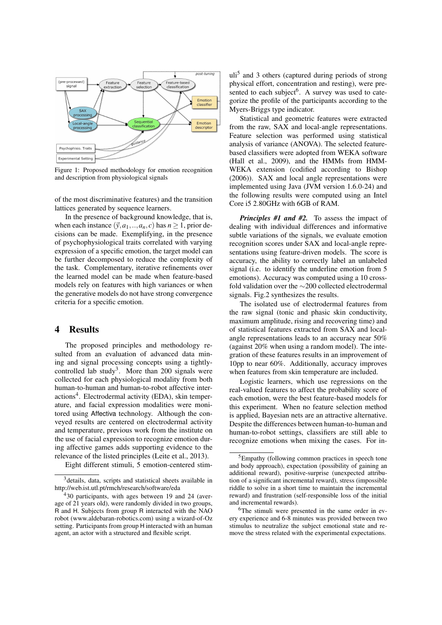

Figure 1: Proposed methodology for emotion recognition and description from physiological signals

of the most discriminative features) and the transition lattices generated by sequence learners.

In the presence of background knowledge, that is, when each instance  $(\vec{y}, a_1, \dots, a_n, c)$  has  $n \geq 1$ , prior decisions can be made. Exemplifying, in the presence of psychophysiological traits correlated with varying expression of a specific emotion, the target model can be further decomposed to reduce the complexity of the task. Complementary, iterative refinements over the learned model can be made when feature-based models rely on features with high variances or when the generative models do not have strong convergence criteria for a specific emotion.

### 4 Results

The proposed principles and methodology resulted from an evaluation of advanced data mining and signal processing concepts using a tightlycontrolled lab study<sup>3</sup>. More than 200 signals were collected for each physiological modality from both human-to-human and human-to-robot affective interactions<sup>4</sup>. Electrodermal activity (EDA), skin temperature, and facial expression modalities were monitored using Affectiva technology. Although the conveyed results are centered on electrodermal activity and temperature, previous work from the institute on the use of facial expression to recognize emotion during affective games adds supporting evidence to the relevance of the listed principles (Leite et al., 2013).

Eight different stimuli, 5 emotion-centered stim-

uli<sup>5</sup> and 3 others (captured during periods of strong physical effort, concentration and resting), were presented to each subject<sup>6</sup>. A survey was used to categorize the profile of the participants according to the Myers-Briggs type indicator.

Statistical and geometric features were extracted from the raw, SAX and local-angle representations. Feature selection was performed using statistical analysis of variance (ANOVA). The selected featurebased classifiers were adopted from WEKA software (Hall et al., 2009), and the HMMs from HMM-WEKA extension (codified according to Bishop (2006)). SAX and local angle representations were implemented using Java (JVM version 1.6.0-24) and the following results were computed using an Intel Core i5 2.80GHz with 6GB of RAM.

*Principles #1 and #2.* To assess the impact of dealing with individual differences and informative subtle variations of the signals, we evaluate emotion recognition scores under SAX and local-angle representations using feature-driven models. The score is accuracy, the ability to correctly label an unlabeled signal (i.e. to identify the underline emotion from 5 emotions). Accuracy was computed using a 10 crossfold validation over the ∼200 collected electrodermal signals. Fig.2 synthesizes the results.

The isolated use of electrodermal features from the raw signal (tonic and phasic skin conductivity, maximum amplitude, rising and recovering time) and of statistical features extracted from SAX and localangle representations leads to an accuracy near 50% (against 20% when using a random model). The integration of these features results in an improvement of 10pp to near 60%. Additionally, accuracy improves when features from skin temperature are included.

Logistic learners, which use regressions on the real-valued features to affect the probability score of each emotion, were the best feature-based models for this experiment. When no feature selection method is applied, Bayesian nets are an attractive alternative. Despite the differences between human-to-human and human-to-robot settings, classifiers are still able to recognize emotions when mixing the cases. For in-

<sup>&</sup>lt;sup>3</sup>details, data, scripts and statistical sheets available in http://web.ist.utl.pt/rmch/research/software/eda

<sup>4</sup>30 participants, with ages between 19 and 24 (average of 21 years old), were randomly divided in two groups, R and H. Subjects from group R interacted with the NAO robot (www.aldebaran-robotics.com) using a wizard-of-Oz setting. Participants from group H interacted with an human agent, an actor with a structured and flexible script.

<sup>&</sup>lt;sup>5</sup>Empathy (following common practices in speech tone and body approach), expectation (possibility of gaining an additional reward), positive-surprise (unexpected attribution of a significant incremental reward), stress (impossible riddle to solve in a short time to maintain the incremental reward) and frustration (self-responsible loss of the initial and incremental rewards).

<sup>&</sup>lt;sup>6</sup>The stimuli were presented in the same order in every experience and 6-8 minutes was provided between two stimulus to neutralize the subject emotional state and remove the stress related with the experimental expectations.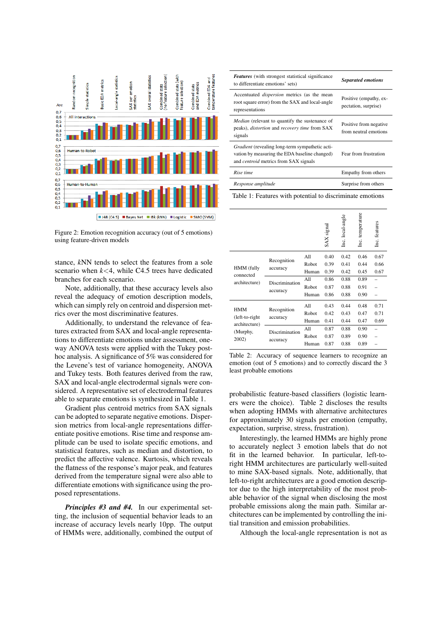

Figure 2: Emotion recognition accuracy (out of 5 emotions) using feature-driven models

stance, *k*NN tends to select the features from a sole scenario when *k*<4, while C4.5 trees have dedicated branches for each scenario.

Note, additionally, that these accuracy levels also reveal the adequacy of emotion description models, which can simply rely on centroid and dispersion metrics over the most discriminative features.

Additionally, to understand the relevance of features extracted from SAX and local-angle representations to differentiate emotions under assessment, oneway ANOVA tests were applied with the Tukey posthoc analysis. A significance of 5% was considered for the Levene's test of variance homogeneity, ANOVA and Tukey tests. Both features derived from the raw, SAX and local-angle electrodermal signals were considered. A representative set of electrodermal features able to separate emotions is synthesized in Table 1.

Gradient plus centroid metrics from SAX signals can be adopted to separate negative emotions. Dispersion metrics from local-angle representations differentiate positive emotions. Rise time and response amplitude can be used to isolate specific emotions, and statistical features, such as median and distortion, to predict the affective valence. Kurtosis, which reveals the flatness of the response's major peak, and features derived from the temperature signal were also able to differentiate emotions with significance using the proposed representations.

*Principles #3 and #4.* In our experimental setting, the inclusion of sequential behavior leads to an increase of accuracy levels nearly 10pp. The output of HMMs were, additionally, combined the output of

| <b>Features</b> (with strongest statistical significance<br>to differentiate emotions' sets)                                                            | <b>Separated emotions</b>                       |
|---------------------------------------------------------------------------------------------------------------------------------------------------------|-------------------------------------------------|
| Accentuated <i>dispersion</i> metrics (as the mean<br>root square error) from the SAX and local-angle<br>representations                                | Positive (empathy, ex-<br>pectation, surprise)  |
| <i>Median</i> (relevant to quantify the sustenance of<br>peaks), <i>distortion</i> and <i>recovery time</i> from SAX<br>signals                         | Positive from negative<br>from neutral emotions |
| <i>Gradient</i> (revealing long-term sympathetic acti-<br>vation by measuring the EDA baseline changed)<br>and <i>centroid</i> metrics from SAX signals | Fear from frustration                           |
| Rise time                                                                                                                                               | Empathy from others                             |
| Response amplitude                                                                                                                                      | Surprise from others                            |

Table 1: Features with potential to discriminate emotions

|                                                                                                                              |                            |       | SAX signal | Inc. local-angle | Inc. temperature | Inc. features |
|------------------------------------------------------------------------------------------------------------------------------|----------------------------|-------|------------|------------------|------------------|---------------|
| HMM (fully<br>connected<br>architecture)                                                                                     | Recognition<br>accuracy    | All   | 0.40       | 0.42             | 0.46             | 0.67          |
|                                                                                                                              |                            | Robot | 0.39       | 0.41             | 0.44             | 0.66          |
|                                                                                                                              |                            | Human | 0.39       | 0.42             | 0.45             | 0.67          |
|                                                                                                                              | Discrimination<br>accuracy | All   | 0.86       | 0.88             | 0.89             |               |
|                                                                                                                              |                            | Robot | 0.87       | 0.88             | 0.91             |               |
|                                                                                                                              |                            | Human | 0.86       | 0.88             | 0.90             |               |
| <b>HMM</b><br>Recognition<br>(left-to-right)<br>accuracy<br>architecture)<br>(Murphy,<br>Discrimination<br>2002)<br>accuracy |                            | All   | 0.43       | 0.44             | 0.48             | 0.71          |
|                                                                                                                              |                            | Robot | 0.42       | 0.43             | 0.47             | 0.71          |
|                                                                                                                              | Human                      | 0.41  | 0.44       | 0.47             | 0.69             |               |
|                                                                                                                              |                            | All   | 0.87       | 0.88             | 0.90             |               |
|                                                                                                                              |                            | Robot | 0.87       | 0.89             | 0.90             |               |
|                                                                                                                              |                            | Human | 0.87       | 0.88             | 0.89             |               |

Table 2: Accuracy of sequence learners to recognize an emotion (out of 5 emotions) and to correctly discard the 3 least probable emotions

probabilistic feature-based classifiers (logistic learners were the choice). Table 2 discloses the results when adopting HMMs with alternative architectures for approximately 30 signals per emotion (empathy, expectation, surprise, stress, frustration).

Interestingly, the learned HMMs are highly prone to accurately neglect 3 emotion labels that do not fit in the learned behavior. In particular, left-toright HMM architectures are particularly well-suited to mine SAX-based signals. Note, additionally, that left-to-right architectures are a good emotion descriptor due to the high interpretability of the most probable behavior of the signal when disclosing the most probable emissions along the main path. Similar architectures can be implemented by controlling the initial transition and emission probabilities.

Although the local-angle representation is not as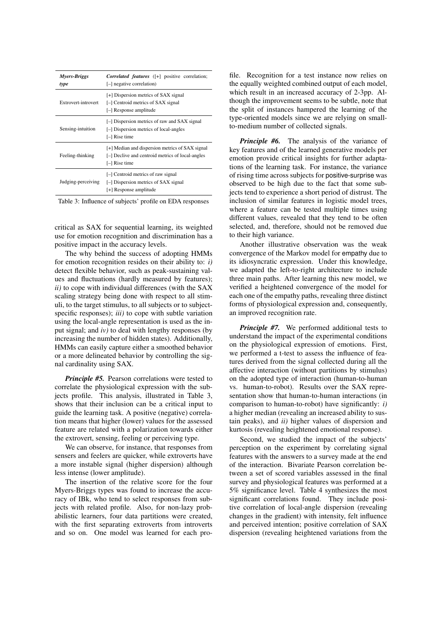| <b>Myers-Briggs</b><br>type | Correlated features ([+] positive correlation;<br>[-] negative correlation)                                          |
|-----------------------------|----------------------------------------------------------------------------------------------------------------------|
| Extrovert-introvert         | [+] Dispersion metrics of SAX signal<br>[-] Centroid metrics of SAX signal<br>[-] Response amplitude                 |
| Sensing-intuition           | [-] Dispersion metrics of raw and SAX signal<br>[-] Dispersion metrics of local-angles<br><sup>[-]</sup> Rise time   |
| Feeling-thinking            | [+] Median and dispersion metrics of SAX signal<br>[-] Declive and centroid metrics of local-angles<br>[-] Rise time |
| Judging-perceiving          | [-] Centroid metrics of raw signal<br>[-] Dispersion metrics of SAX signal<br>[+] Response amplitude                 |

Table 3: Influence of subjects' profile on EDA responses

critical as SAX for sequential learning, its weighted use for emotion recognition and discrimination has a positive impact in the accuracy levels.

The why behind the success of adopting HMMs for emotion recognition resides on their ability to: *i)* detect flexible behavior, such as peak-sustaining values and fluctuations (hardly measured by features); *ii)* to cope with individual differences (with the SAX scaling strategy being done with respect to all stimuli, to the target stimulus, to all subjects or to subjectspecific responses); *iii*) to cope with subtle variation using the local-angle representation is used as the input signal; and *iv)* to deal with lengthy responses (by increasing the number of hidden states). Additionally, HMMs can easily capture either a smoothed behavior or a more delineated behavior by controlling the signal cardinality using SAX.

*Principle #5.* Pearson correlations were tested to correlate the physiological expression with the subjects profile. This analysis, illustrated in Table 3, shows that their inclusion can be a critical input to guide the learning task. A positive (negative) correlation means that higher (lower) values for the assessed feature are related with a polarization towards either the extrovert, sensing, feeling or perceiving type.

We can observe, for instance, that responses from sensers and feelers are quicker, while extroverts have a more instable signal (higher dispersion) although less intense (lower amplitude).

The insertion of the relative score for the four Myers-Briggs types was found to increase the accuracy of IBk, who tend to select responses from subjects with related profile. Also, for non-lazy probabilistic learners, four data partitions were created, with the first separating extroverts from introverts and so on. One model was learned for each profile. Recognition for a test instance now relies on the equally weighted combined output of each model, which result in an increased accuracy of 2-3pp. Although the improvement seems to be subtle, note that the split of instances hampered the learning of the type-oriented models since we are relying on smallto-medium number of collected signals.

*Principle #6.* The analysis of the variance of key features and of the learned generative models per emotion provide critical insights for further adaptations of the learning task. For instance, the variance of rising time across subjects for positive-surprise was observed to be high due to the fact that some subjects tend to experience a short period of distrust. The inclusion of similar features in logistic model trees, where a feature can be tested multiple times using different values, revealed that they tend to be often selected, and, therefore, should not be removed due to their high variance.

Another illustrative observation was the weak convergence of the Markov model for empathy due to its idiosyncratic expression. Under this knowledge, we adapted the left-to-right architecture to include three main paths. After learning this new model, we verified a heightened convergence of the model for each one of the empathy paths, revealing three distinct forms of physiological expression and, consequently, an improved recognition rate.

*Principle #7.* We performed additional tests to understand the impact of the experimental conditions on the physiological expression of emotions. First, we performed a t-test to assess the influence of features derived from the signal collected during all the affective interaction (without partitions by stimulus) on the adopted type of interaction (human-to-human vs. human-to-robot). Results over the SAX representation show that human-to-human interactions (in comparison to human-to-robot) have significantly: *i)* a higher median (revealing an increased ability to sustain peaks), and *ii)* higher values of dispersion and kurtosis (revealing heightened emotional response).

Second, we studied the impact of the subjects' perception on the experiment by correlating signal features with the answers to a survey made at the end of the interaction. Bivariate Pearson correlation between a set of scored variables assessed in the final survey and physiological features was performed at a 5% significance level. Table 4 synthesizes the most significant correlations found. They include positive correlation of local-angle dispersion (revealing changes in the gradient) with intensity, felt influence and perceived intention; positive correlation of SAX dispersion (revealing heightened variations from the